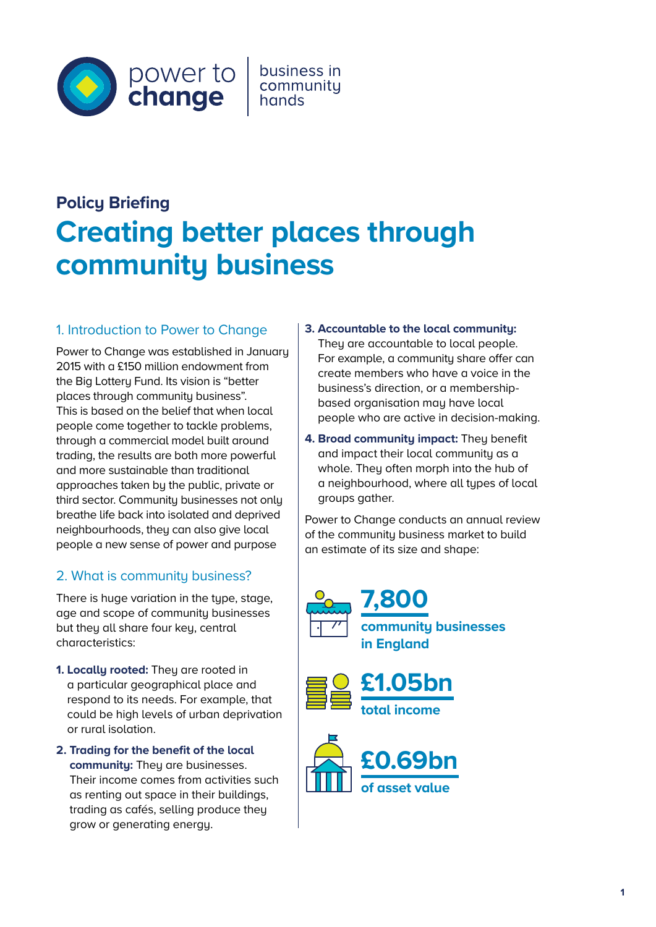

business in community

# **Policy Briefing Creating better places through community business**

## 1. Introduction to Power to Change

Power to Change was established in January 2015 with a £150 million endowment from the Big Lottery Fund. Its vision is "better places through community business". This is based on the belief that when local people come together to tackle problems, through a commercial model built around trading, the results are both more powerful and more sustainable than traditional approaches taken by the public, private or third sector. Community businesses not only breathe life back into isolated and deprived neighbourhoods, they can also give local people a new sense of power and purpose

## 2. What is community business?

There is huge variation in the type, stage, age and scope of community businesses but they all share four key, central characteristics:

**1. Locallu rooted:** They are rooted in a particular geographical place and respond to its needs. For example, that could be high levels of urban deprivation or rural isolation.

**2. Trading for the benefit of the local community:** They are businesses. Their income comes from activities such as renting out space in their buildings, trading as cafés, selling produce they grow or generating energy.

- **3. Accountable to the local community:** They are accountable to local people. For example, a community share offer can create members who have a voice in the business's direction, or a membershipbased organisation may have local people who are active in decision-making.
- **4. Broad community impact:** They benefit and impact their local community as a whole. They often morph into the hub of a neighbourhood, where all types of local groups gather.

Power to Change conducts an annual review of the community business market to build an estimate of its size and shape:





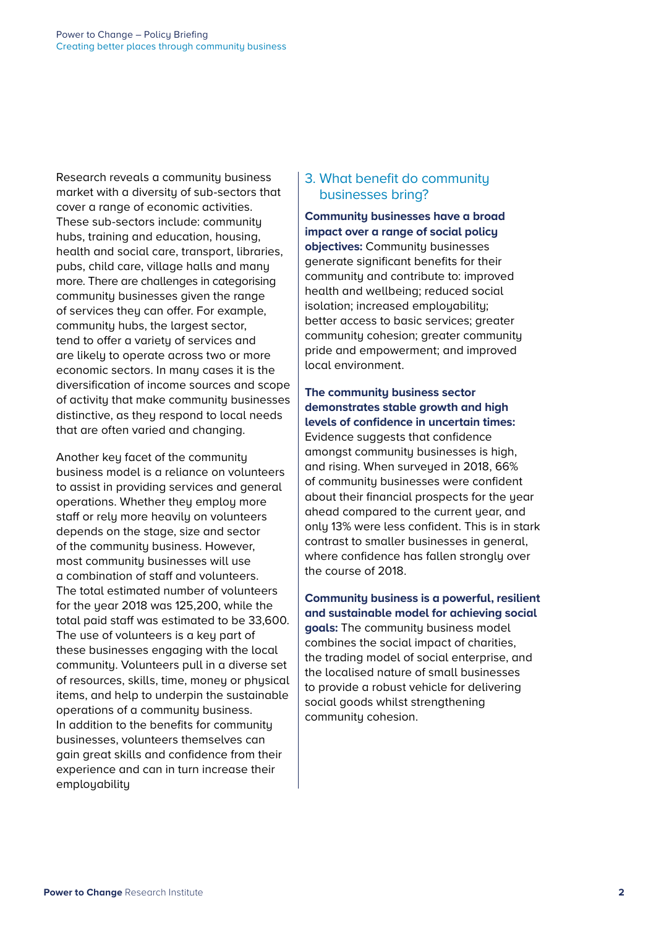Research reveals a community business market with a diversity of sub-sectors that cover a range of economic activities. These sub-sectors include: community hubs, training and education, housing, health and social care, transport, libraries, pubs, child care, village halls and many more. There are challenges in categorising community businesses given the range of services they can offer. For example, community hubs, the largest sector, tend to offer a variety of services and are likely to operate across two or more economic sectors. In many cases it is the diversification of income sources and scope of activity that make community businesses distinctive, as they respond to local needs that are often varied and changing.

Another key facet of the community business model is a reliance on volunteers to assist in providing services and general operations. Whether they employ more staff or rely more heavily on volunteers depends on the stage, size and sector of the community business. However, most community businesses will use a combination of staff and volunteers. The total estimated number of volunteers for the year 2018 was 125,200, while the total paid staff was estimated to be 33,600. The use of volunteers is a key part of these businesses engaging with the local community. Volunteers pull in a diverse set of resources, skills, time, money or physical items, and help to underpin the sustainable operations of a community business. In addition to the benefits for community businesses, volunteers themselves can gain great skills and confidence from their experience and can in turn increase their employability

## 3. What benefit do community businesses bring?

**Community businesses have a broad impact over a range of social policy objectives:** Community businesses generate significant benefits for their community and contribute to: improved health and wellbeing; reduced social isolation; increased employability; better access to basic services; greater communitu cohesion; greater communitu pride and empowerment; and improved local environment.

**The community business sector demonstrates stable growth and high levels of confidence in uncertain times:** Evidence suggests that confidence amongst community businesses is high, and rising. When surveyed in 2018, 66% of community businesses were confident about their financial prospects for the year ahead compared to the current year, and only 13% were less confident. This is in stark contrast to smaller businesses in general, where confidence has fallen strongly over the course of 2018.

**Community business is a powerful, resilient and sustainable model for achieving social goals:** The community business model combines the social impact of charities, the trading model of social enterprise, and the localised nature of small businesses to provide a robust vehicle for delivering social goods whilst strengthening community cohesion.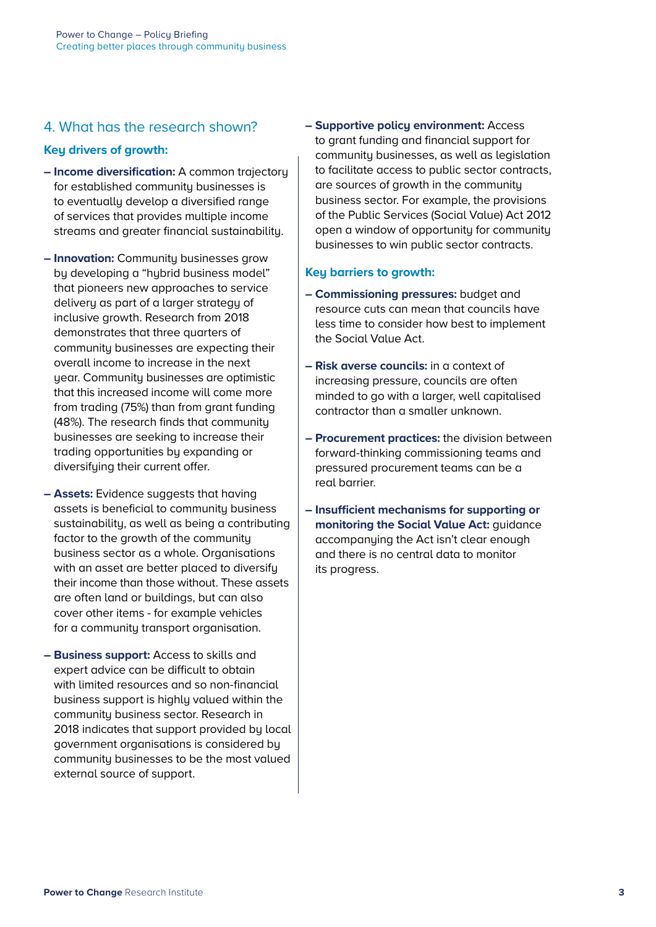## 4. What has the research shown?

#### **Key drivers of growth:**

- **Income diversification:** A common trajectory for established community businesses is to eventually develop a diversified range of services that provides multiple income streams and greater financial sustainability.
- **Innovation:** Community businesses grow by developing a "hybrid business model" that pioneers new approaches to service delivery as part of a larger strategy of inclusive growth. Research from 2018 demonstrates that three quarters of community businesses are expecting their overall income to increase in the next year. Community businesses are optimistic that this increased income will come more from trading (75%) than from grant funding (48%). The research finds that community businesses are seeking to increase their trading opportunities by expanding or diversifying their current offer.
- **Assets:** Evidence suggests that having assets is beneficial to community business sustainability, as well as being a contributing factor to the growth of the community business sector as a whole. Organisations with an asset are better placed to diversify their income than those without. These assets are often land or buildings, but can also cover other items - for example vehicles for a community transport organisation.
- **Business support:** Access to skills and expert advice can be difficult to obtain with limited resources and so non-financial business support is highly valued within the community business sector. Research in 2018 indicates that support provided by local government organisations is considered by community businesses to be the most valued external source of support.

**– Supportive policy environment:** Access to grant funding and financial support for community businesses, as well as legislation to facilitate access to public sector contracts, are sources of growth in the community business sector. For example, the provisions of the Public Services (Social Value) Act 2012 open a window of opportunity for community businesses to win public sector contracts.

#### **Key barriers to growth:**

- **Commissioning pressures:** budget and resource cuts can mean that councils have less time to consider how best to implement the Social Value Act.
- **Risk averse councils:** in a context of increasing pressure, councils are often minded to go with a larger, well capitalised contractor than a smaller unknown.
- **Procurement practices:** the division between forward-thinking commissioning teams and pressured procurement teams can be a real barrier.
- **Insufficient mechanisms for supporting or monitoring the Social Value Act:** guidance accompanying the Act isn't clear enough and there is no central data to monitor its progress.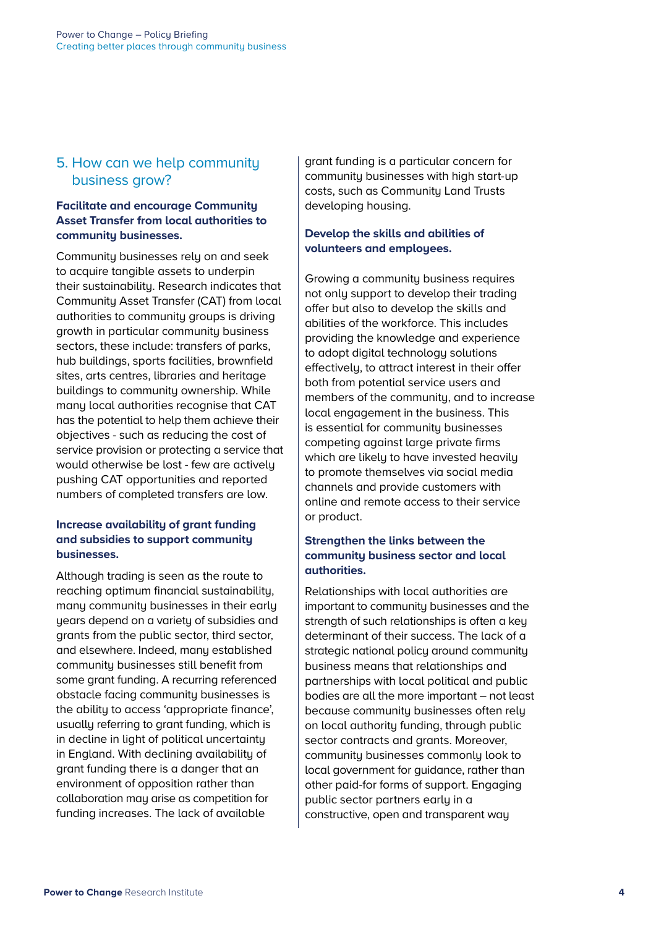## 5. How can we help community business grow?

#### **Facilitate and encourage Community Asset Transfer from local authorities to community businesses.**

Community businesses rely on and seek to acquire tangible assets to underpin their sustainability. Research indicates that Community Asset Transfer (CAT) from local authorities to community groups is driving growth in particular community business sectors, these include: transfers of parks, hub buildings, sports facilities, brownfield sites, arts centres, libraries and heritage buildings to community ownership. While many local authorities recognise that CAT has the potential to help them achieve their objectives - such as reducing the cost of service provision or protecting a service that would otherwise be lost - few are actively pushing CAT opportunities and reported numbers of completed transfers are low.

#### **Increase availability of grant funding and subsidies to support community businesses.**

Although trading is seen as the route to reaching optimum financial sustainability, many community businesses in their early years depend on a variety of subsidies and grants from the public sector, third sector, and elsewhere. Indeed, many established community businesses still benefit from some grant funding. A recurring referenced obstacle facing community businesses is the ability to access 'appropriate finance', usually referring to grant funding, which is in decline in light of political uncertainty in England. With declining availability of grant funding there is a danger that an environment of opposition rather than collaboration may arise as competition for funding increases. The lack of available

grant funding is a particular concern for community businesses with high start-up costs, such as Community Land Trusts developing housing.

## **Develop the skills and abilities of volunteers and employees.**

Growing a community business requires not only support to develop their trading offer but also to develop the skills and abilities of the workforce. This includes providing the knowledge and experience to adopt digital technology solutions effectively, to attract interest in their offer both from potential service users and members of the community, and to increase local engagement in the business. This is essential for community businesses competing against large private firms which are likely to have invested heavily to promote themselves via social media channels and provide customers with online and remote access to their service or product.

#### **Strengthen the links between the community business sector and local authorities.**

Relationships with local authorities are important to community businesses and the strength of such relationships is often a key determinant of their success. The lack of a strategic national policy around community business means that relationships and partnerships with local political and public bodies are all the more important – not least because community businesses often rely on local authority funding, through public sector contracts and grants. Moreover, community businesses commonly look to local government for guidance, rather than other paid-for forms of support. Engaging public sector partners early in a constructive, open and transparent way